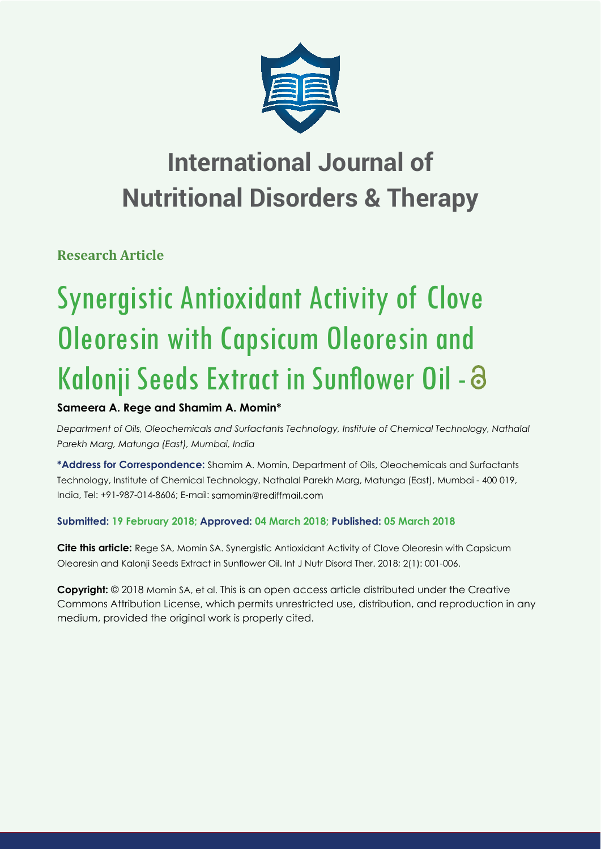

## **International Journal of Nutritional Disorders & Therapy**

**Research Article**

# Synergistic Antioxidant Activity of Clove Oleoresin with Capsicum Oleoresin and Kalonji Seeds Extract in Sunflower Oil - a

## **Sameera A. Rege and Shamim A. Momin\***

*Department of Oils, Oleochemicals and Surfactants Technology, Institute of Chemical Technology, Nathalal Parekh Marg, Matunga (East), Mumbai, India*

**\*Address for Correspondence:** Shamim A. Momin, Department of Oils, Oleochemicals and Surfactants Technology, Institute of Chemical Technology, Nathalal Parekh Marg, Matunga (East), Mumbai - 400 019, India, Tel: +91-987-014-8606; E-mail:

## **Submitted: 19 February 2018; Approved: 04 March 2018; Published: 05 March 2018**

**Cite this article:** Rege SA, Momin SA. Synergistic Antioxidant Activity of Clove Oleoresin with Capsicum Oleoresin and Kalonji Seeds Extract in Sunflower Oil. Int J Nutr Disord Ther. 2018; 2(1): 001-006.

**Copyright:** © 2018 Momin SA, et al. This is an open access article distributed under the Creative Commons Attribution License, which permits unrestricted use, distribution, and reproduction in any medium, provided the original work is properly cited.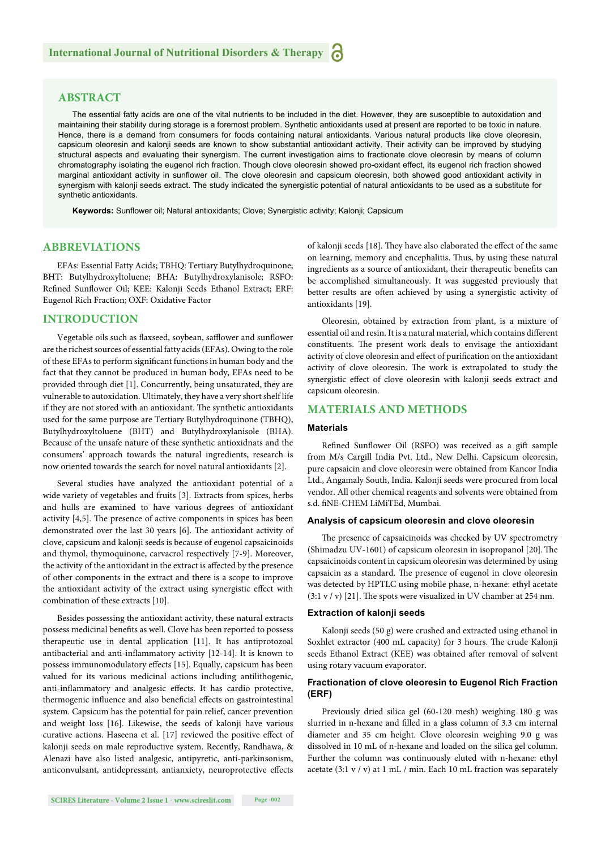#### **ABSTRACT**

The essential fatty acids are one of the vital nutrients to be included in the diet. However, they are susceptible to autoxidation and maintaining their stability during storage is a foremost problem. Synthetic antioxidants used at present are reported to be toxic in nature. Hence, there is a demand from consumers for foods containing natural antioxidants. Various natural products like clove oleoresin, capsicum oleoresin and kalonji seeds are known to show substantial antioxidant activity. Their activity can be improved by studying structural aspects and evaluating their synergism. The current investigation aims to fractionate clove oleoresin by means of column chromatography isolating the eugenol rich fraction. Though clove oleoresin showed pro-oxidant effect, its eugenol rich fraction showed marginal antioxidant activity in sunflower oil. The clove oleoresin and capsicum oleoresin, both showed good antioxidant activity in synergism with kalonji seeds extract. The study indicated the synergistic potential of natural antioxidants to be used as a substitute for synthetic antioxidants.

Keywords: Sunflower oil; Natural antioxidants; Clove; Synergistic activity; Kalonji; Capsicum

#### **ABBREVIATIONS**

EFAs: Essential Fatty Acids; TBHQ: Tertiary Butylhydroquinone; BHT: Butylhydroxyltoluene; BHA: Butylhydroxylanisole; RSFO: Refined Sunflower Oil; KEE: Kalonji Seeds Ethanol Extract; ERF: Eugenol Rich Fraction; OXF: Oxidative Factor

#### **INTRODUCTION**

Vegetable oils such as flaxseed, soybean, safflower and sunflower are the richest sources of essential fatty acids (EFAs). Owing to the role of these EFAs to perform significant functions in human body and the fact that they cannot be produced in human body, EFAs need to be provided through diet [1]. Concurrently, being unsaturated, they are vulnerable to autoxidation. Ultimately, they have a very short shelf life if they are not stored with an antioxidant. The synthetic antioxidants used for the same purpose are Tertiary Butylhydroquinone (TBHQ), Butylhydroxyltoluene (BHT) and Butylhydroxylanisole (BHA). Because of the unsafe nature of these synthetic antioxidnats and the consumers' approach towards the natural ingredients, research is now oriented towards the search for novel natural antioxidants [2].

Several studies have analyzed the antioxidant potential of a wide variety of vegetables and fruits [3]. Extracts from spices, herbs and hulls are examined to have various degrees of antioxidant activity [4,5]. The presence of active components in spices has been demonstrated over the last 30 years [6]. The antioxidant activity of clove, capsicum and kalonji seeds is because of eugenol capsaicinoids and thymol, thymoquinone, carvacrol respectively [7-9]. Moreover, the activity of the antioxidant in the extract is affected by the presence of other components in the extract and there is a scope to improve the antioxidant activity of the extract using synergistic effect with combination of these extracts [10].

Besides possessing the antioxidant activity, these natural extracts possess medicinal benefits as well. Clove has been reported to possess therapeutic use in dental application [11]. It has antiprotozoal antibacterial and anti-inflammatory activity [12-14]. It is known to possess immunomodulatory effects [15]. Equally, capsicum has been valued for its various medicinal actions including antilithogenic, anti-inflammatory and analgesic effects. It has cardio protective, thermogenic influence and also beneficial effects on gastrointestinal system. Capsicum has the potential for pain relief, cancer prevention and weight loss [16]. Likewise, the seeds of kalonji have various curative actions. Haseena et al. [17] reviewed the positive effect of kalonji seeds on male reproductive system. Recently, Randhawa, & Alenazi have also listed analgesic, antipyretic, anti-parkinsonism, anticonvulsant, antidepressant, antianxiety, neuroprotective effects of kalonji seeds [18]. They have also elaborated the effect of the same on learning, memory and encephalitis. Thus, by using these natural ingredients as a source of antioxidant, their therapeutic benefits can be accomplished simultaneously. It was suggested previously that better results are often achieved by using a synergistic activity of antioxidants [19].

Oleoresin, obtained by extraction from plant, is a mixture of essential oil and resin. It is a natural material, which contains different constituents. The present work deals to envisage the antioxidant activity of clove oleoresin and effect of purification on the antioxidant activity of clove oleoresin. The work is extrapolated to study the synergistic effect of clove oleoresin with kalonji seeds extract and capsicum oleoresin.

#### **MATERIALS AND METHODS**

#### **Materials**

Refined Sunflower Oil (RSFO) was received as a gift sample from M/s Cargill India Pvt. Ltd., New Delhi. Capsicum oleoresin, pure capsaicin and clove oleoresin were obtained from Kancor India Ltd., Angamaly South, India. Kalonji seeds were procured from local vendor. All other chemical reagents and solvents were obtained from s.d. fiNE-CHEM LiMiTEd, Mumbai.

#### **Analysis of capsicum oleoresin and clove oleoresin**

The presence of capsaicinoids was checked by UV spectrometry (Shimadzu UV-1601) of capsicum oleoresin in isopropanol [20]. The capsaicinoids content in capsicum oleoresin was determined by using capsaicin as a standard. The presence of eugenol in clove oleoresin was detected by HPTLC using mobile phase, n-hexane: ethyl acetate  $(3:1 v / v)$  [21]. The spots were visualized in UV chamber at 254 nm.

#### **Extraction of kalonji seeds**

Kalonji seeds (50 g) were crushed and extracted using ethanol in Soxhlet extractor (400 mL capacity) for 3 hours. The crude Kalonji seeds Ethanol Extract (KEE) was obtained after removal of solvent using rotary vacuum evaporator.

#### **Fractionation of clove oleoresin to Eugenol Rich Fraction (ERF)**

Previously dried silica gel (60-120 mesh) weighing 180 g was slurried in n-hexane and filled in a glass column of 3.3 cm internal diameter and 35 cm height. Clove oleoresin weighing 9.0 g was dissolved in 10 mL of n*-*hexane and loaded on the silica gel column. Further the column was continuously eluted with n*-*hexane: ethyl acetate  $(3:1 \text{ y } / \text{ y})$  at 1 mL / min. Each 10 mL fraction was separately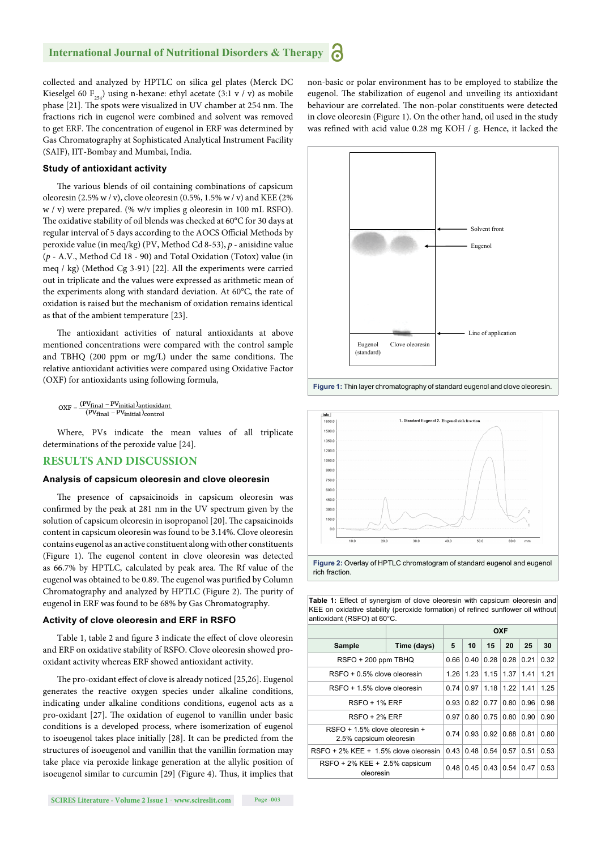collected and analyzed by HPTLC on silica gel plates (Merck DC Kieselgel 60  $F_{254}$ ) using n-hexane: ethyl acetate (3:1 v / v) as mobile phase [21]. The spots were visualized in UV chamber at 254 nm. The fractions rich in eugenol were combined and solvent was removed to get ERF. The concentration of eugenol in ERF was determined by Gas Chromatography at Sophisticated Analytical Instrument Facility (SAIF), IIT-Bombay and Mumbai, India.

#### **Study of antioxidant activity**

The various blends of oil containing combinations of capsicum oleoresin (2.5% w / v), clove oleoresin (0.5%, 1.5% w / v) and KEE (2% w / v) were prepared. (% w/v implies g oleoresin in 100 mL RSFO). The oxidative stability of oil blends was checked at 60°C for 30 days at regular interval of 5 days according to the AOCS Official Methods by peroxide value (in meq/kg) (PV, Method Cd 8-53), *p* - anisidine value (*p* - A.V., Method Cd 18 - 90) and Total Oxidation (Totox) value (in meq / kg) (Method Cg 3-91) [22]. All the experiments were carried out in triplicate and the values were expressed as arithmetic mean of the experiments along with standard deviation. At 60°C, the rate of oxidation is raised but the mechanism of oxidation remains identical as that of the ambient temperature [23].

The antioxidant activities of natural antioxidants at above mentioned concentrations were compared with the control sample and TBHQ (200 ppm or mg/L) under the same conditions. The relative antioxidant activities were compared using Oxidative Factor (OXF) for antioxidants using following formula,

 $\text{OXF} = \frac{\text{(PVfinal - PV}_{initial})_{\text{antioxidant}}}{\text{(PVfinal - PV}_{initial})_{\text{control}}}$  $(PV_{final} - PV_{initial})_{control}$ 

Where, PVs indicate the mean values of all triplicate determinations of the peroxide value [24].

#### **RESULTS AND DISCUSSION**

#### **Analysis of capsicum oleoresin and clove oleoresin**

The presence of capsaicinoids in capsicum oleoresin was confirmed by the peak at 281 nm in the UV spectrum given by the solution of capsicum oleoresin in isopropanol [20]. The capsaicinoids content in capsicum oleoresin was found to be 3.14%. Clove oleoresin contains eugenol as an active constituent along with other constituents (Figure 1). The eugenol content in clove oleoresin was detected as 66.7% by HPTLC, calculated by peak area. The Rf value of the eugenol was obtained to be 0.89. The eugenol was purified by Column Chromatography and analyzed by HPTLC (Figure 2). The purity of eugenol in ERF was found to be 68% by Gas Chromatography.

#### **Activity of clove oleoresin and ERF in RSFO**

Table 1, table 2 and figure 3 indicate the effect of clove oleoresin and ERF on oxidative stability of RSFO. Clove oleoresin showed prooxidant activity whereas ERF showed antioxidant activity.

The pro-oxidant effect of clove is already noticed [25,26]. Eugenol generates the reactive oxygen species under alkaline conditions, indicating under alkaline conditions conditions, eugenol acts as a pro-oxidant [27]. The oxidation of eugenol to vanillin under basic conditions is a developed process, where isomerization of eugenol to isoeugenol takes place initially [28]. It can be predicted from the structures of isoeugenol and vanillin that the vanillin formation may take place via peroxide linkage generation at the allylic position of isoeugenol similar to curcumin [29] (Figure 4). Thus, it implies that

**SCIRES Literature - Volume 2 Issue 1 - www.scireslit.com Page -003**

non-basic or polar environment has to be employed to stabilize the eugenol. The stabilization of eugenol and unveiling its antioxidant behaviour are correlated. The non-polar constituents were detected in clove oleoresin (Figure 1). On the other hand, oil used in the study was refined with acid value 0.28 mg KOH / g. Hence, it lacked the



**Figure 1:** Thin layer chromatography of standard eugenol and clove oleoresin.





**Table 1:** Effect of synergism of clove oleoresin with capsicum oleoresin and KEE on oxidative stability (peroxide formation) of refined sunflower oil without antioxidant (RSFO) at 60°C.

|                                                             |             | <b>OXF</b> |      |      |      |      |      |
|-------------------------------------------------------------|-------------|------------|------|------|------|------|------|
| Sample                                                      | Time (days) | 5          | 10   | 15   | 20   | 25   | 30   |
| RSFO + 200 ppm TBHQ                                         |             | 0.66       | 0.40 | 0.28 | 0.28 | 0.21 | 0.32 |
| $RSFO + 0.5%$ clove oleoresin                               |             | 1.26       | 1.23 | 1.15 | 1.37 | 1.41 | 1.21 |
| RSFO + 1.5% clove oleoresin                                 |             | 0.74       | 0.97 | 1.18 | 1.22 | 1.41 | 1.25 |
| RSFO + 1% ERF                                               |             | 0.93       | 0.82 | 0.77 | 0.80 | 0.96 | 0.98 |
| RSFO + 2% ERF                                               |             | 0.97       | 0.80 | 0.75 | 0.80 | 0.90 | 0.90 |
| $RSEO + 1.5\%$ clove oleoresin +<br>2.5% capsicum oleoresin |             | 0 74       | 0.93 | 0.92 | 0.88 | 0.81 | 0.80 |
| RSFO + 2% KEE + 1.5% clove oleoresin                        |             | 0.43       | 0.48 | 0.54 | 0.57 | 0.51 | 0.53 |
| RSFO + 2% KEE + 2.5% capsicum<br>oleoresin                  |             | 0.48       | 0.45 | 0.43 | 0.54 | 0.47 | 0.53 |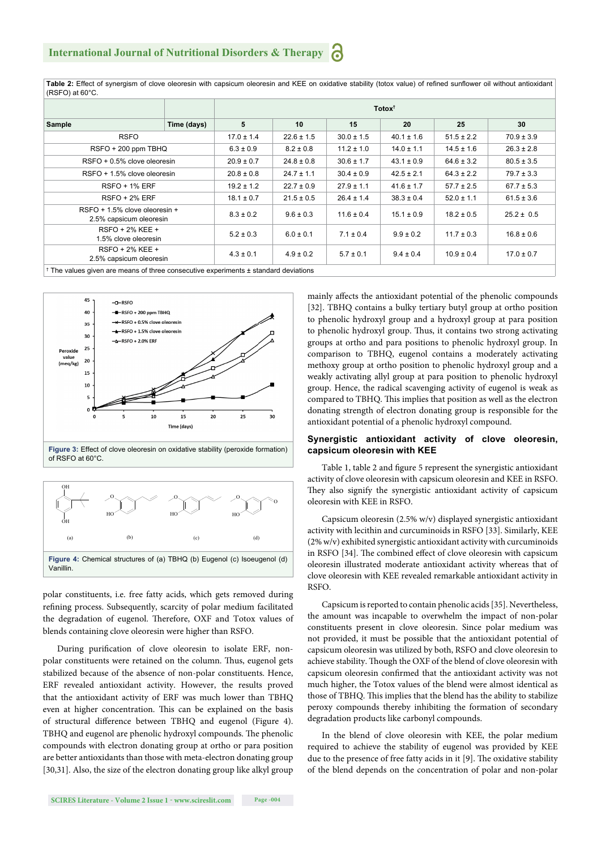Table 2: Effect of synergism of clove oleoresin with capsicum oleoresin and KEE on oxidative stability (totox value) of refined sunflower oil without antioxidant (RSFO) at 60°C.

|                                                                                                |             | Totox <sup>+</sup> |                |                |                |                |                |  |  |  |  |
|------------------------------------------------------------------------------------------------|-------------|--------------------|----------------|----------------|----------------|----------------|----------------|--|--|--|--|
| Sample                                                                                         | Time (days) | 5                  | 10             | 15             | 20             | 25             | 30             |  |  |  |  |
| <b>RSFO</b>                                                                                    |             | $17.0 \pm 1.4$     | $22.6 \pm 1.5$ | $30.0 \pm 1.5$ | $40.1 \pm 1.6$ | $51.5 \pm 2.2$ | $70.9 \pm 3.9$ |  |  |  |  |
| RSFO + 200 ppm TBHQ                                                                            |             | $6.3 \pm 0.9$      | $8.2 \pm 0.8$  | $11.2 \pm 1.0$ | $14.0 \pm 1.1$ | $14.5 \pm 1.6$ | $26.3 \pm 2.8$ |  |  |  |  |
| RSFO + 0.5% clove oleoresin                                                                    |             | $20.9 \pm 0.7$     | $24.8 \pm 0.8$ | $30.6 \pm 1.7$ | $43.1 \pm 0.9$ | $64.6 \pm 3.2$ | $80.5 \pm 3.5$ |  |  |  |  |
| $RSFO + 1.5%$ clove oleoresin                                                                  |             | $20.8 \pm 0.8$     | $24.7 \pm 1.1$ | $30.4 \pm 0.9$ | $42.5 \pm 2.1$ | $64.3 \pm 2.2$ | $79.7 \pm 3.3$ |  |  |  |  |
| <b>RSFO + 1% ERF</b>                                                                           |             | $19.2 \pm 1.2$     | $22.7 \pm 0.9$ | $27.9 \pm 1.1$ | $41.6 \pm 1.7$ | $57.7 \pm 2.5$ | $67.7 \pm 5.3$ |  |  |  |  |
| $RSFO + 2% ERF$                                                                                |             | $18.1 \pm 0.7$     | $21.5 \pm 0.5$ | $26.4 \pm 1.4$ | $38.3 \pm 0.4$ | $52.0 \pm 1.1$ | $61.5 \pm 3.6$ |  |  |  |  |
| RSFO + 1.5% clove oleoresin +<br>2.5% capsicum oleoresin                                       |             | $8.3 \pm 0.2$      | $9.6 \pm 0.3$  | $11.6 \pm 0.4$ | $15.1 \pm 0.9$ | $18.2 \pm 0.5$ | $25.2 \pm 0.5$ |  |  |  |  |
| $RSFO + 2% KEE +$<br>1.5% clove oleoresin                                                      |             | $5.2 \pm 0.3$      | $6.0 \pm 0.1$  | $7.1 \pm 0.4$  | $9.9 \pm 0.2$  | $11.7 \pm 0.3$ | $16.8 \pm 0.6$ |  |  |  |  |
| RSFO + 2% KEE +<br>2.5% capsicum oleoresin                                                     |             | $4.3 \pm 0.1$      | $4.9 \pm 0.2$  | $5.7 \pm 0.1$  | $9.4 \pm 0.4$  | $10.9 \pm 0.4$ | $17.0 \pm 0.7$ |  |  |  |  |
| <sup>†</sup> The values given are means of three consecutive experiments ± standard deviations |             |                    |                |                |                |                |                |  |  |  |  |



**Figure 3:** Effect of clove oleoresin on oxidative stability (peroxide formation) of RSFO at 60°C.



polar constituents, i.e. free fatty acids, which gets removed during refining process. Subsequently, scarcity of polar medium facilitated the degradation of eugenol. Therefore, OXF and Totox values of blends containing clove oleoresin were higher than RSFO.

During purification of clove oleoresin to isolate ERF, nonpolar constituents were retained on the column. Thus, eugenol gets stabilized because of the absence of non-polar constituents. Hence, ERF revealed antioxidant activity. However, the results proved that the antioxidant activity of ERF was much lower than TBHQ even at higher concentration. This can be explained on the basis of structural difference between TBHQ and eugenol (Figure 4). TBHQ and eugenol are phenolic hydroxyl compounds. The phenolic compounds with electron donating group at ortho or para position are better antioxidants than those with meta-electron donating group [30,31]. Also, the size of the electron donating group like alkyl group mainly affects the antioxidant potential of the phenolic compounds [32]. TBHQ contains a bulky tertiary butyl group at ortho position to phenolic hydroxyl group and a hydroxyl group at para position to phenolic hydroxyl group. Thus, it contains two strong activating groups at ortho and para positions to phenolic hydroxyl group. In comparison to TBHQ, eugenol contains a moderately activating methoxy group at ortho position to phenolic hydroxyl group and a weakly activating allyl group at para position to phenolic hydroxyl group. Hence, the radical scavenging activity of eugenol is weak as compared to TBHQ. This implies that position as well as the electron donating strength of electron donating group is responsible for the antioxidant potential of a phenolic hydroxyl compound.

#### **Synergistic antioxidant activity of clove oleoresin, capsicum oleoresin with KEE**

Table 1, table 2 and figure 5 represent the synergistic antioxidant activity of clove oleoresin with capsicum oleoresin and KEE in RSFO. They also signify the synergistic antioxidant activity of capsicum oleoresin with KEE in RSFO.

Capsicum oleoresin (2.5% w/v) displayed synergistic antioxidant activity with lecithin and curcuminoids in RSFO [33]. Similarly, KEE (2% w/v) exhibited synergistic antioxidant activity with curcuminoids in RSFO [34]. The combined effect of clove oleoresin with capsicum oleoresin illustrated moderate antioxidant activity whereas that of clove oleoresin with KEE revealed remarkable antioxidant activity in RSFO.

Capsicum is reported to contain phenolic acids [35]. Nevertheless, the amount was incapable to overwhelm the impact of non-polar constituents present in clove oleoresin. Since polar medium was not provided, it must be possible that the antioxidant potential of capsicum oleoresin was utilized by both, RSFO and clove oleoresin to achieve stability. Though the OXF of the blend of clove oleoresin with capsicum oleoresin confirmed that the antioxidant activity was not much higher, the Totox values of the blend were almost identical as those of TBHQ. This implies that the blend has the ability to stabilize peroxy compounds thereby inhibiting the formation of secondary degradation products like carbonyl compounds.

In the blend of clove oleoresin with KEE, the polar medium required to achieve the stability of eugenol was provided by KEE due to the presence of free fatty acids in it [9]. The oxidative stability of the blend depends on the concentration of polar and non-polar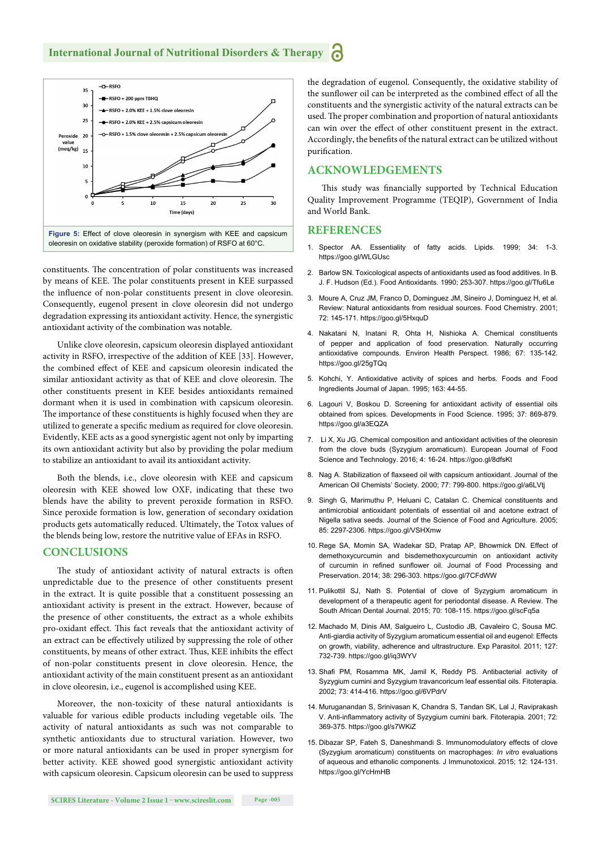

constituents. The concentration of polar constituents was increased by means of KEE. The polar constituents present in KEE surpassed the influence of non-polar constituents present in clove oleoresin. Consequently, eugenol present in clove oleoresin did not undergo degradation expressing its antioxidant activity. Hence, the synergistic antioxidant activity of the combination was notable.

Unlike clove oleoresin, capsicum oleoresin displayed antioxidant activity in RSFO, irrespective of the addition of KEE [33]. However, the combined effect of KEE and capsicum oleoresin indicated the similar antioxidant activity as that of KEE and clove oleoresin. The other constituents present in KEE besides antioxidants remained dormant when it is used in combination with capsicum oleoresin. The importance of these constituents is highly focused when they are utilized to generate a specific medium as required for clove oleoresin. Evidently, KEE acts as a good synergistic agent not only by imparting its own antioxidant activity but also by providing the polar medium to stabilize an antioxidant to avail its antioxidant activity.

Both the blends, i.e., clove oleoresin with KEE and capsicum oleoresin with KEE showed low OXF, indicating that these two blends have the ability to prevent peroxide formation in RSFO. Since peroxide formation is low, generation of secondary oxidation products gets automatically reduced. Ultimately, the Totox values of the blends being low, restore the nutritive value of EFAs in RSFO.

#### **CONCLUSIONS**

The study of antioxidant activity of natural extracts is often unpredictable due to the presence of other constituents present in the extract. It is quite possible that a constituent possessing an antioxidant activity is present in the extract. However, because of the presence of other constituents, the extract as a whole exhibits pro-oxidant effect. This fact reveals that the antioxidant activity of an extract can be effectively utilized by suppressing the role of other constituents, by means of other extract. Thus, KEE inhibits the effect of non-polar constituents present in clove oleoresin. Hence, the antioxidant activity of the main constituent present as an antioxidant in clove oleoresin, i.e., eugenol is accomplished using KEE.

Moreover, the non-toxicity of these natural antioxidants is valuable for various edible products including vegetable oils. The activity of natural antioxidants as such was not comparable to synthetic antioxidants due to structural variation. However, two or more natural antioxidants can be used in proper synergism for better activity. KEE showed good synergistic antioxidant activity with capsicum oleoresin. Capsicum oleoresin can be used to suppress the degradation of eugenol. Consequently, the oxidative stability of the sunflower oil can be interpreted as the combined effect of all the constituents and the synergistic activity of the natural extracts can be used. The proper combination and proportion of natural antioxidants can win over the effect of other constituent present in the extract. Accordingly, the benefits of the natural extract can be utilized without purification.

#### **ACKNOWLEDGEMENTS**

This study was financially supported by Technical Education Quality Improvement Programme (TEQIP), Government of India and World Bank.

#### **REFERENCES**

- 1. Spector AA. Essentiality of fatty acids. Lipids. 1999; 34: 1-3. https://goo.gl/WLGUsc
- 2. Barlow SN. Toxicological aspects of antioxidants used as food additives. In B. J. F. Hudson (Ed.). Food Antioxidants. 1990; 253-307. https://goo.gl/Tfu6Le
- 3. Moure A, Cruz JM, Franco D, Dominguez JM, Sineiro J, Dominguez H, et al. Review: Natural antioxidants from residual sources. Food Chemistry. 2001; 72: 145-171. https://goo.gl/5HxquD
- 4. Nakatani N, Inatani R, Ohta H, Nishioka A. Chemical constituents of pepper and application of food preservation. Naturally occurring antioxidative compounds. Environ Health Perspect. 1986; 67: 135-142. https://goo.gl/25gTQq
- 5. Kohchi, Y. Antioxidative activity of spices and herbs. Foods and Food Ingredients Journal of Japan. 1995; 163: 44-55.
- 6. Lagouri V, Boskou D. Screening for antioxidant activity of essential oils obtained from spices. Developments in Food Science. 1995; 37: 869-879. https://goo.gl/a3EQZA
- 7. Li X, Xu JG. Chemical composition and antioxidant activities of the oleoresin from the clove buds (Syzygium aromaticum). European Journal of Food Science and Technology. 2016; 4: 16-24. https://goo.gl/8dfsKt
- 8. Nag A. Stabilization of flaxseed oil with capsicum antioxidant. Journal of the American Oil Chemists' Society. 2000; 77: 799-800. https://goo.gl/a6LVtj
- 9. Singh G, Marimuthu P, Heluani C, Catalan C. Chemical constituents and antimicrobial antioxidant potentials of essential oil and acetone extract of Nigella sativa seeds. Journal of the Science of Food and Agriculture. 2005; 85: 2297-2306. https://goo.gl/VSHXmw
- 10. Rege SA, Momin SA, Wadekar SD, Pratap AP, Bhowmick DN. Effect of demethoxycurcumin and bisdemethoxycurcumin on antioxidant activity of curcumin in refined sunflower oil. Journal of Food Processing and Preservation. 2014; 38: 296-303. https://goo.gl/7CFdWW
- 11. Pulikottil SJ, Nath S. Potential of clove of Syzygium aromaticum in development of a therapeutic agent for periodontal disease. A Review. The South African Dental Journal. 2015; 70: 108-115. https://goo.gl/scFq5a
- 12. Machado M, Dinis AM, Salgueiro L, Custodio JB, Cavaleiro C, Sousa MC. Anti-giardia activity of Syzygium aromaticum essential oil and eugenol: Effects on growth, viability, adherence and ultrastructure. Exp Parasitol. 2011; 127: 732-739. https://goo.gl/iq3WYV
- 13. Shafi PM, Rosamma MK, Jamil K, Reddy PS. Antibacterial activity of Syzygium cumini and Syzygium travancoricum leaf essential oils. Fitoterapia. 2002; 73: 414-416. https://goo.gl/6VPdrV
- 14. Muruganandan S, Srinivasan K, Chandra S, Tandan SK, Lal J, Raviprakash V. Anti-inflammatory activity of Syzygium cumini bark. Fitoterapia. 2001; 72: 369-375. https://goo.gl/s7WKiZ
- 15. Dibazar SP, Fateh S, Daneshmandi S. Immunomodulatory effects of clove (Syzygium aromaticum) constituents on macrophages: *In vitro* evaluations of aqueous and ethanolic components. J Immunotoxicol. 2015; 12: 124-131. https://goo.gl/YcHmHB